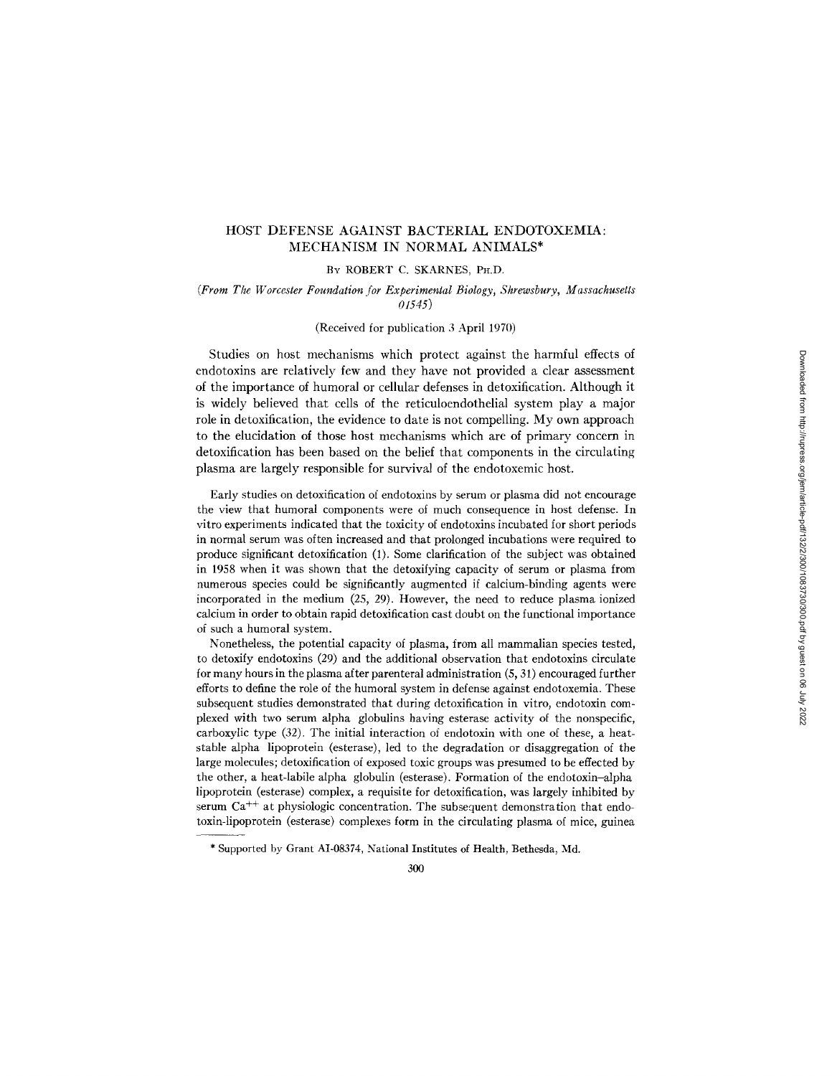# HOST DEFENSE AGAINST BACTERIAL ENDOTOXEMIA: MECHANISM IN NORMAL ANIMALS\*

#### BY ROBERT C. SKARNES, PH.D.

## *(From The Worcester Foundation [or Experimental Biology, Shrewsbury, Massachusetts 01545)*

## (Received for publication 3 April 1970)

Studies on host mechanisms which protect against the harmful effects of endotoxins are relatively few and they have not provided a clear assessment of the importance of humoral or cellular defenses in detoxification. Although it is widely believed that cells of the reticuloendothelial system play a major role in detoxification, the evidence to date is not compelling. My own approach to the elucidation of those host mechanisms which are of primary concern in detoxification has been based on the belief that components in the circulating plasma are largely responsible for survival of the endotoxemic host.

Early studies on detoxification of endotoxins by serum or plasma did not encourage the view that humoral components were of much consequence in host defense. In vitro experiments indicated that the toxicity of endotoxins incubated for short periods in normal serum was often increased and that prolonged incubations were required to produce significant detoxification (1). Some clarification of the subject was obtained in 1958 when it was shown that the detoxifying capacity of serum or plasma from numerous species could be significantly augmented if calcium-binding agents were incorporated in the medium (25, 29). However, the need to reduce plasma ionized calcium in order to obtain rapid detoxification cast doubt on the functional importance of such a humoral system.

Nonetheless, the potential capacity of plasma, from all mammalian species tested, to detoxify endotoxins (29) and the additional observation that endotoxins circulate for many hours in the plasma after parenteral administration (5, 31) encouraged further efforts to define the role of the humoral system in defense against endotoxemia. These subsequent studies demonstrated that during detoxification in vitro, endotoxin complexed with two serum alpha globulins having esterase activity of the nonspecific, carboxylic type (32). The initial interaction of endotoxin with one of these, a heatstable alpha lipoprotein (esterase), led to the degradation or disaggregation of the large molecules; detoxification of exposed toxic groups was presumed to be effected by the other, a heat-labile alpha globulin (esterase). Formation of the endotoxin-alpha lipoprotein (esterase) complex, a requisite for detoxification, was largely inhibited by serum  $Ca<sup>++</sup>$  at physiologic concentration. The subsequent demonstration that endotoxin-lipoprotein (esterase) complexes form in the circulating plasma of mice, guinea

<sup>\*</sup> Supported by Grant AI-08374, National Institutes of Health, Bethesda, Md.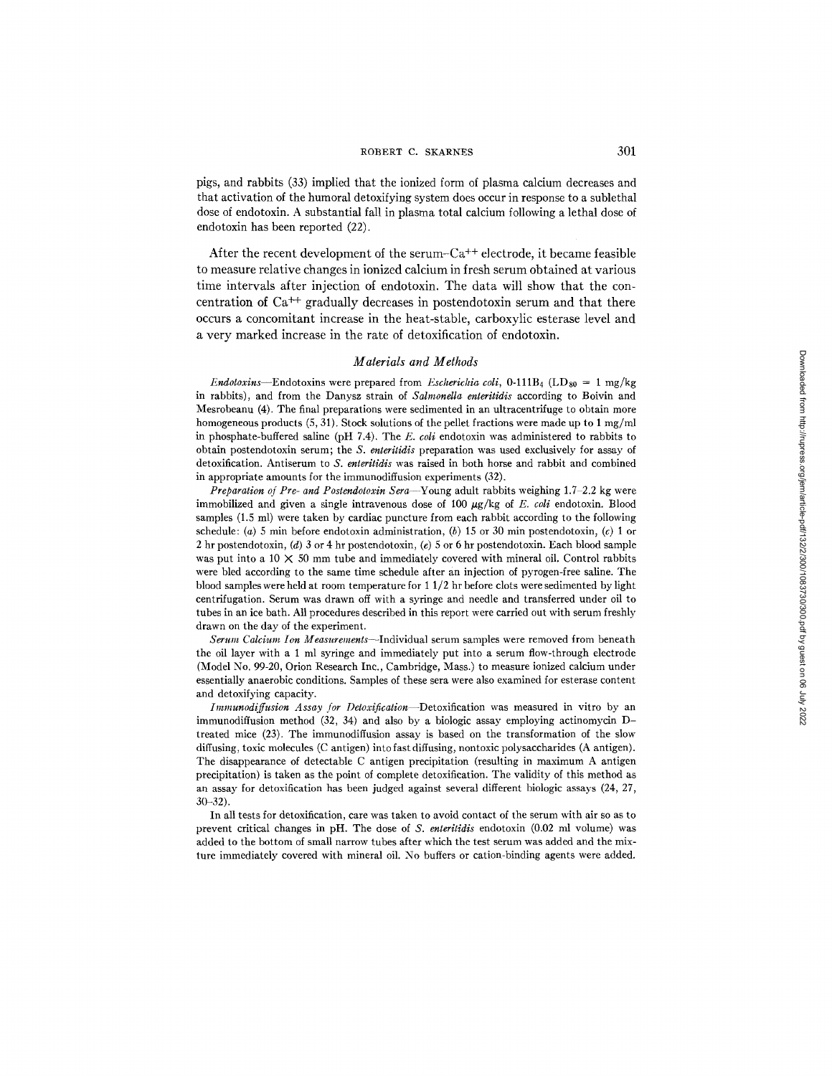pigs, and rabbits (33) implied that the ionized form of plasma calcium decreases and that activation of the humoral detoxifying system does occur in response to a sublethal dose of endotoxin. A substantial fall in plasma total calcium following a lethal dose of endotoxin has been reported (22).

After the recent development of the serum- $Ca^{++}$  electrode, it became feasible to measure relative changes in ionized calcium in fresh serum obtained at various time intervals after injection of endotoxin. The data will show that the concentration of  $Ca<sup>++</sup>$  gradually decreases in postendotoxin serum and that there occurs a concomitant increase in the heat-stable, carboxylic esterase level and a very marked increase in the rate of detoxification of endotoxin.

#### *Materials and Methods*

*Endotoxins*—Endotoxins were prepared from *Escherichia coli*,  $0-111B_4$  (LD<sub>80</sub> = 1 mg/kg in rabbits), and from the Danysz strain of *Salmonella enteritidis* according to Boivin and Mesrobeanu (4). The final preparations were sedimented in an ultracentrifuge to obtain more homogeneous products  $(5, 31)$ . Stock solutions of the pellet fractions were made up to 1 mg/ml in phosphate-buffered saline (pH 7.4). The *E. coli* endotoxin was administered to rabbits to obtain postendotoxin serum; the *S. enteritidis* preparation was used exclusively for assay of detoxification. Antiserum to *S. enteritidis* was raised in both horse and rabbit and combined in appropriate amounts for the immunodiffusion experiments (32).

*Preparation of Pre- and Postendotoxin Sera*-Young adult rabbits weighing 1.7-2.2 kg were immobilized and given a single intravenous dose of  $100 \mu g/kg$  of *E. coli* endotoxin. Blood samples (1.5 ml) were taken by cardiac puncture from each rabbit according to the following schedule: (a) 5 min before endotoxin administration, (b) 15 or 30 min postendotoxin, (c) 1 or 2 hr postendotoxin, (d) 3 or 4 hr postendotoxin, (e) 5 or 6 hr postendotoxin. Each blood sample was put into a 10  $\times$  50 mm tube and immediately covered with mineral oil. Control rabbits were bled according to the same time schedule after an injection of pyrogen-free saline. The blood samples were held at room temperature for 1 1/2 hr before clots were sedimented by light centrifugation. Serum was drawn off with a syringe and needle and transferred under oil to tubes in an ice bath. All procedures described in this report were carried out with serum freshly drawn on the day of the experiment.

*Serum Calcium Ion Measurements--Individual* serum samples were removed from beneath the oil layer with a 1 ml syringe and immediately put into a serum flow-through electrode (Model No. 99-20, Orion Research Inc., Cambridge, Mass.) to measure ionized calcium under essentially anaerobic conditions. Samples of these sera were also examined for esterase content and detoxifying capacity.

*Immunodiffusion Assay for Detoxification--Detoxification* was measured in vitro by an immunodiffusion method (32, 34) and also by a biologic assay employing actinomycin Dtreated mice (23). The immunodiffusion assay is based on the transformation of the slow diffusing, toxic molecules (C antigen) into fast diffusing, nontoxic polysaccharides (A antigen). The disappearance of detectable C antigen precipitation (resulting in maximum A antigen precipitation) is taken as the point of complete detoxification. The validity of this method as an assay for detoxification has been judged against several different biologic assays (24, 27, 30-32).

In all tests for detoxification, care was taken to avoid contact of the serum with air so as to prevent critical changes in pH. The dose of *S. enteritldis* endotoxin (0.02 ml volume) was added to the bottom of small narrow tubes after which the test serum was added and the mixture immediately covered with mineral oil. No buffers or cation-binding agents were added.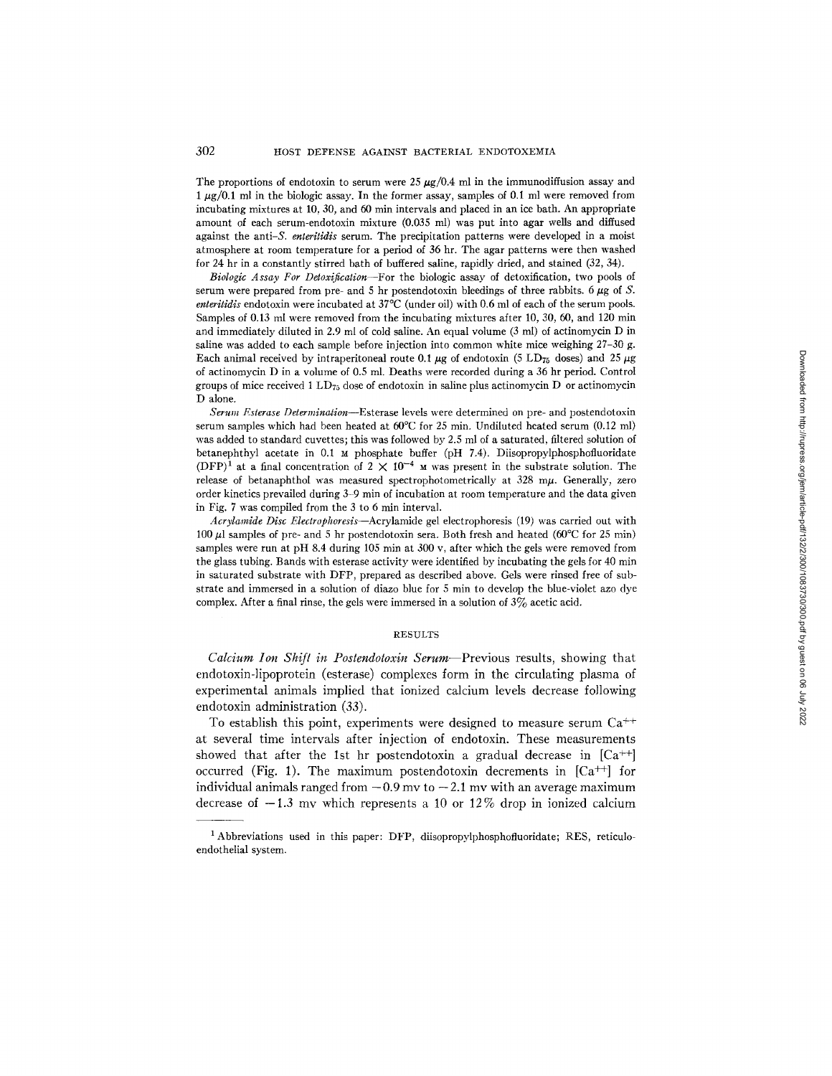The proportions of endotoxin to serum were 25  $\mu$ g/0.4 ml in the immunodiffusion assay and  $1 \mu g/0.1$  ml in the biologic assay. In the former assay, samples of 0.1 ml were removed from incubating mixtures at 10, 30, and 60 min intervals and placed in an ice bath. An appropriate amount of each serum-endotoxin mixture (0.035 ml) was put into agar wells and diffused against the anti-S, *enteritidis* serum. The precipitation patterns were developed in a moist atmosphere at room temperature for a period of 36 hr. The agar patterns were then washed for 24 hr in a constantly stirred bath of buffered saline, rapidly dried, and stained (32, 34).

*Biologic Assay For Detoxification--For* the biologic assay of detoxification, two pools of serum were prepared from pre- and 5 hr postendotoxin bleedings of three rabbits. 6  $\mu$ g of S. *enteritidis* endotoxin were incubated at 37°C (under oil) with 0.6 ml of each of the serum pools. Samples of 0.13 ml were removed from the incubating mixtures after 10, 30, 60, and 120 min and immediately diluted in 2.9 ml of cold saline. An equal volume (3 ml) of actinomycin D in saline was added to each sample before injection into common white mice weighing 27-30 g. Each animal received by intraperitoneal route 0.1  $\mu$ g of endotoxin (5 LD<sub>T<sub>5</sub></sub> doses) and 25  $\mu$ g of actinomycin D in a volume of 0.5 ml. Deaths were recorded during a 36 hr period. Control groups of mice received 1 LD $_{75}$  dose of endotoxin in saline plus actinomycin D or actinomycin D alone.

*Serum Esterase Determination--Esterase* levels were determined on pre- and postendotoxin serum samples which had been heated at 60°C for 25 min. Undiluted heated serum (0.12 ml) was added to standard cuvettes; this was followed by 2.5 ml of a saturated, filtered solution of betanephthyl acetate in 0.1 M phosphate buffer (pH 7.4). Diisopropylphosphofluoridate (DFP)<sup>1</sup> at a final concentration of  $2 \times 10^{-4}$  M was present in the substrate solution. The release of betanaphthol was measured spectrophotometrically at  $328 \text{ m}\mu$ . Generally, zero order kinetics prevailed during 3-9 min of incubation at room temperature and the data given in Fig.  $7$  was compiled from the  $3$  to  $6$  min interval.

*Acrylamide Disc Electrophoresis--Acrylamide* gel electrophoresis (19) was carried out with 100  $\mu$ l samples of pre- and 5 hr postendotoxin sera. Both fresh and heated (60°C for 25 min) samples were run at pH 8.4 during 105 min at 300 v, after which the gels were removed from the glass tubing. Bands with esterase activity were identified by incubating the gels for 40 min in saturated substrate with DFP, prepared as described above. Gels were rinsed free of substrate and immersed in a solution of diazo blue for 5 min to develop the blue-violet azo dye complex. After a final rinse, the gels were immersed in a solution of  $3\%$  acetic acid.

#### RESULTS

*Calcium Ion Shift in Postendotoxin Serum--Previous* results, showing that endotoxin-lipoprotein (esterase) complexes form in the circulating plasma of experimental animals implied that ionized calcium levels decrease following endotoxin administration (33).

To establish this point, experiments were designed to measure serum  $Ca^{++}$ at several time intervals after injection of endotoxin. These measurements showed that after the 1st hr postendotoxin a gradual decrease in  $[Ca^{++}]$ occurred (Fig. 1). The maximum postendotoxin decrements in  $[Ca^{++}]$  for individual animals ranged from  $-0.9$  mv to  $-2.1$  mv with an average maximum decrease of  $-1.3$  my which represents a 10 or 12% drop in ionized calcium

<sup>&</sup>lt;sup>1</sup> Abbreviations used in this paper: DFP, diisopropylphosphofluoridate; RES, reticuloendothelial system.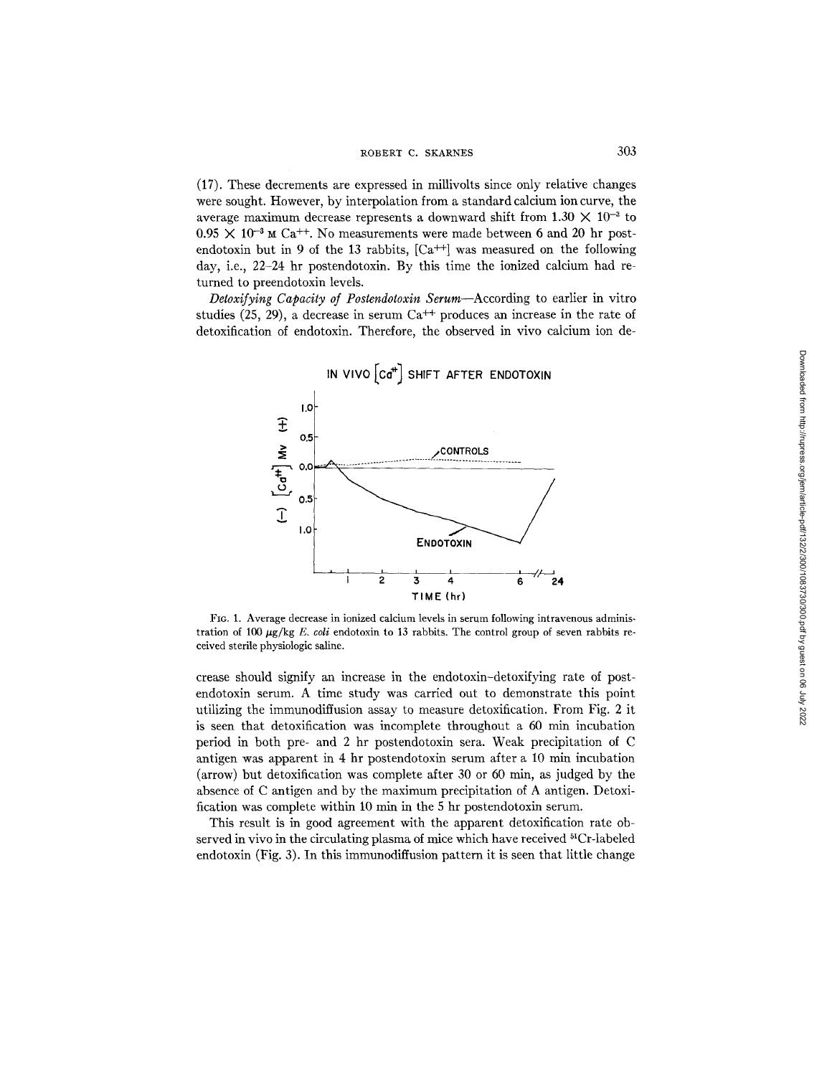(17). These decrements are expressed in millivolts since only relative changes were sought. However, by interpolation from a standard calcium ion curve, the average maximum decrease represents a downward shift from  $1.30 \times 10^{-3}$  to  $0.95 \times 10^{-3}$  M Ca<sup>++</sup>. No measurements were made between 6 and 20 hr postendotoxin but in 9 of the 13 rabbits,  $[Ca^{++}]$  was measured on the following day, i.e., 22-24 hr postendotoxin. By this time the ionized calcium had returned to preendotoxin levels.

*Detoxifying Capacity of Postendotoxin Serum--According* to earlier in vitro studies (25, 29), a decrease in serum Ca<sup>++</sup> produces an increase in the rate of detoxification of endotoxin. Therefore, the observed in vivo calcium ion de-



FIG. 1. Average decrease in ionized calcium levels in serum following intravenous administration of 100  $\mu$ g/kg *E. coli* endotoxin to 13 rabbits. The control group of seven rabbits received sterile physiologic saline.

crease should signify an increase in the endotoxin-detoxifying rate of postendotoxin serum. A time study was carried out to demonstrate this point utilizing the immunodiffusion assay to measure detoxification. From Fig. 2 it is seen that detoxification was incomplete throughout a 60 min incubation period in both pre- and 2 hr postendotoxin sera. Weak precipitation of C antigen was apparent in 4 hr postendotoxin serum after a 10 min incubation  $\rm (arrow)$  but detoxification was complete after 30 or 60 min, as judged by the absence of C antigen and by the maximum precipitation of A antigen. Detoxification was complete within 10 min in the 5 hr postendotoxin serum.

This result is in good agreement with the apparent detoxification rate observed in vivo in the circulating plasma of mice which have received  $^{51}Cr$ -labeled endotoxin (Fig. 3). In this immunodiffusion pattern it is seen that little change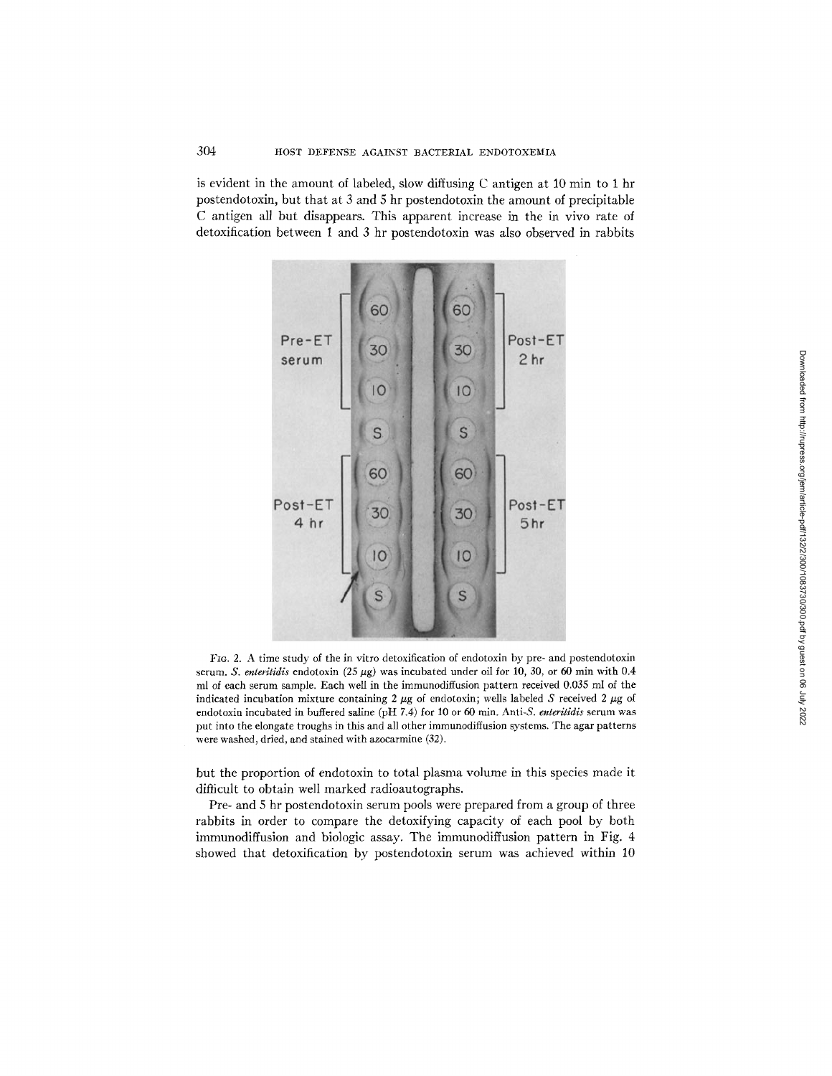is evident in the amount of labeled, slow diffusing C antigen at 10 min to 1 hr postendotoxin, but that at 3 and 5 hr postendotoxin the amount of precipitable C antigen all but disappears. This apparent increase in the in vivo rate of detoxification between 1 and 3 hr postendotoxin was also observed in rabbits



Fio. 2. A time study of the in vitro detoxification of endotoxin by pre- and postendotoxin serum. *S. enteritidis* endotoxin (25  $\mu$ g) was incubated under oil for 10, 30, or 60 min with 0.4 ml of each serum sample. Each well in the immunodiffusion pattern received 0.035 ml of the indicated incubation mixture containing  $2 \mu g$  of endotoxin; wells labeled S received  $2 \mu g$  of endotoxin incubated in buffered saline (pH 7.4) for 10 or 60 min. Anti-S. enteritidis serum was put into the elongate troughs in this and all other immunodiffusion systems. The agar patterns were washed, dried, and stained with azocarmine (32).

but the proportion of endotoxin to total plasma volume in this species made it difficult to obtain well marked radioautographs.

Pre- and 5 hr postendotoxin serum pools were prepared from a group of three rabbits in order to compare the detoxifying capacity of each pool by both immunodiffusion and biologic assay. The immunodiffusion pattern in Fig. 4 showed that detoxification by postendotoxin serum was achieved within 10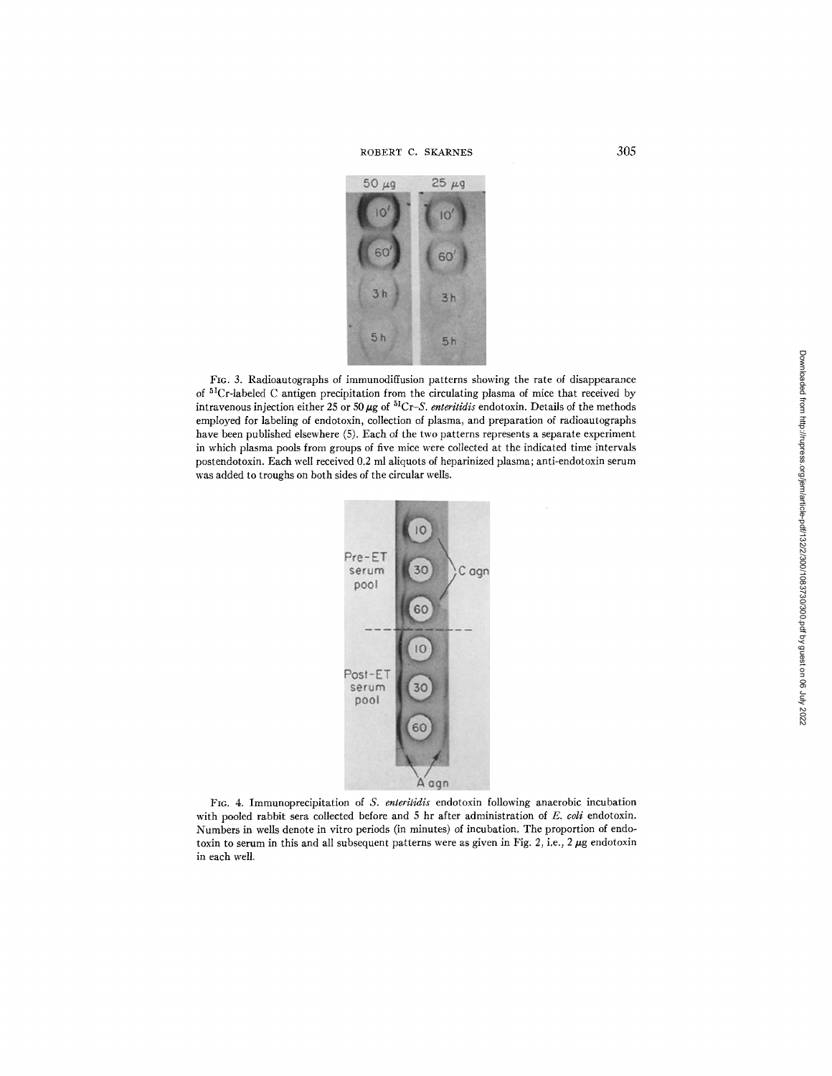ROBERT C. SKARNES 305



FIG. 3. Radioautographs of immunodiffusion patterns showing the rate of disappearance of 51Cr-labeled C antigen precipitation from the circulating plasma of mice that received by intravenous injection either 25 or 50  $\mu$ g of  ${}^{51}Cr-S$ . *enteritidis* endotoxin. Details of the methods employed for labeling of endotoxin, collection of plasma, and preparation of radioautographs have been published elsewhere (5). Each of the two patterns represents a separate experiment in which plasma pools from groups of five mice were collected at the indicated time intervals postendotoxin. Each well received 0.2 ml aliquots of heparinized plasma; anti-endotoxin serum was added to troughs on both sides of the circular wells.



Fro. 4. Immunoprecipitation of *S. enteritidis* endotoxin following anaerobic incubation with pooled rabbit sera collected before and 5 hr after administration of *E. coli* endotoxin. Numbers in wells denote in vitro periods (in minutes) of incubation. The proportion of endotoxin to serum in this and all subsequent patterns were as given in Fig. 2, i.e.,  $2 \mu$ g endotoxin in each well.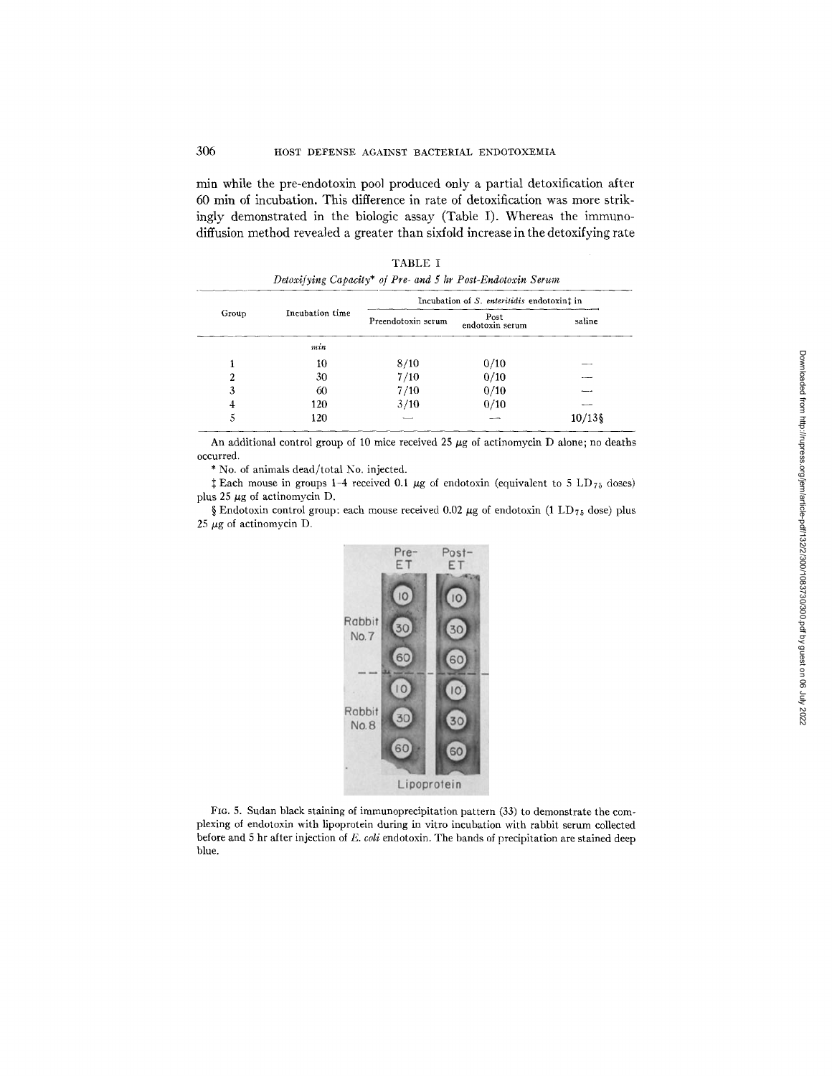min while the pre-endotoxin pool produced only a partial detoxification after 60 min of incubation. This difference in rate of detoxification was more strikingly demonstrated in the biologic assay (Table I). Whereas the immunodiffusion method revealed a greater than sixfold increase in the detoxifying rate

| Group | Incubation time | Incubation of S. enteritidis endotoxint in |                         |         |
|-------|-----------------|--------------------------------------------|-------------------------|---------|
|       |                 | Preendotoxin serum                         | Post<br>endotoxin serum | saline  |
|       | min             |                                            |                         |         |
|       | 10              | 8/10                                       | 0/10                    |         |
| 2     | 30              | 7/10                                       | 0/10                    |         |
|       | 60              | 7/10                                       | 0/10                    |         |
|       | 120             | 3/10                                       | 0/10                    |         |
|       | 120             |                                            |                         | 10/13\$ |

TABLE I *Detoxijying Capacity\* of Pre- and 5 hr Post-Endotoxin Serum* 

An additional control group of 10 mice received 25  $\mu$ g of actinomycin D alone; no deaths occurred.

\* No. of animals dead/total No. injected.

 $\ddagger$  Each mouse in groups 1-4 received 0.1  $\mu$ g of endotoxin (equivalent to 5 LD<sub>75</sub> doses) plus 25  $\mu$ g of actinomycin D.

§ Endotoxin control group: each mouse received 0.02  $\mu$ g of endotoxin (1 LD<sub>75</sub> dose) plus 25  $\mu$ g of actinomycin D.



FIG. 5. Sudan black staining of immunoprecipitation pattern (33) to demonstrate the complexing of endotoxin with lipoprotein during in vitro incubation with rabbit serum collected before and 5 hr after injection of *E. coli* endotoxin. The bands of precipitation are stained deep blue.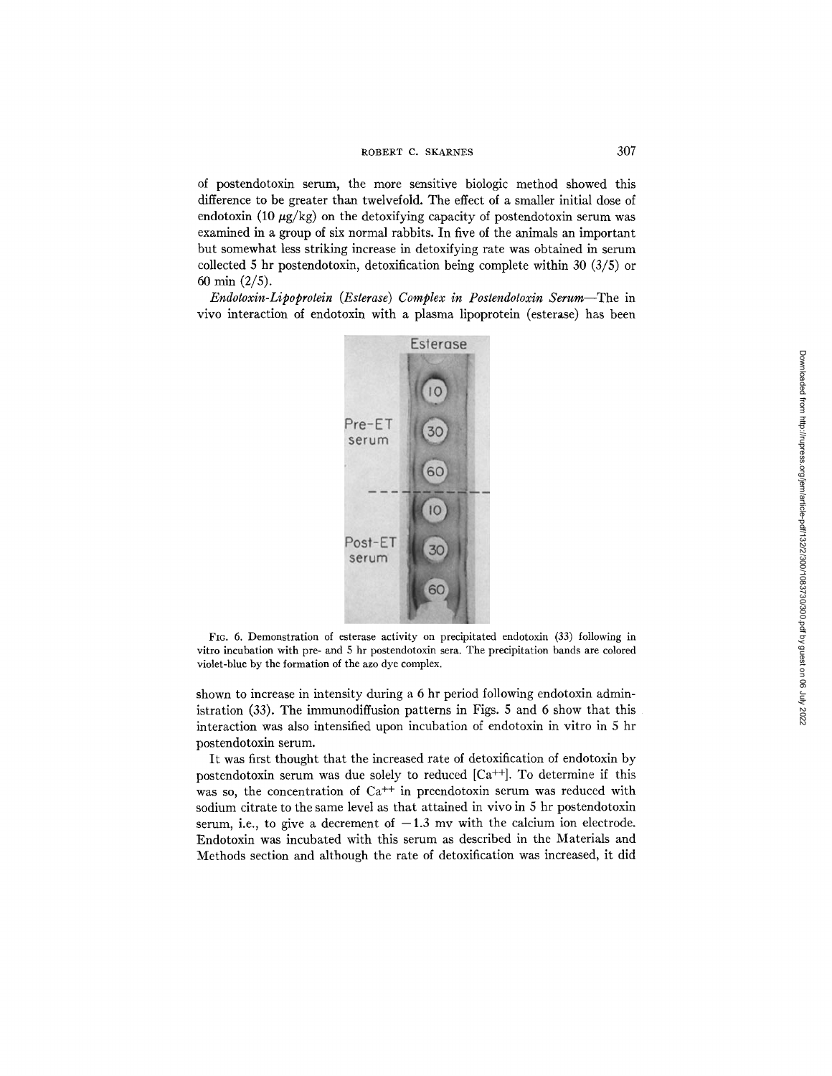of postendotoxin serum, the more sensitive biologic method showed this difference to be greater than twelvefold. The effect of a smaller initial dose of endotoxin (10  $\mu$ g/kg) on the detoxifying capacity of postendotoxin serum was examined in a group of six normal rabbits. In five of the animals an important but somewhat less striking increase in detoxifying rate was obtained in serum collected 5 hr postendotoxin, detoxification being complete within 30 (3/5) or 60 min (2/5).

*Endotoxin-Lipoprotein (Esterase) Complex in Postendotoxin Serum--The* in vivo interaction of endotoxin with a plasma lipoprotein (esterase) has been



FIG. 6. Demonstration of esterase activity on precipitated endotoxin (33) following in vitro incubation with pre- and 5 hr postendotoxin sera. The precipitation bands are colored violet-blue by the formation of the azo dye complex.

shown to increase in intensity during a 6 hr period following endotoxin administration (33). The immunodiffusion patterns in Figs. 5 and 6 show that this interaction was also intensified upon incubation of endotoxin in vitro in 5 hr postendotoxin serum.

It was first thought that the increased rate of detoxification of endotoxin by postendotoxin serum was due solely to reduced  $[Ca^{++}]$ . To determine if this was so, the concentration of  $Ca^{++}$  in preendotoxin serum was reduced with sodium citrate to the same level as that attained in vivo in 5 hr postendotoxin serum, i.e., to give a decrement of  $-1.3$  mv with the calcium ion electrode. Endotoxin was incubated with this serum as described in the Materials and Methods section and although the rate of detoxification was increased, it did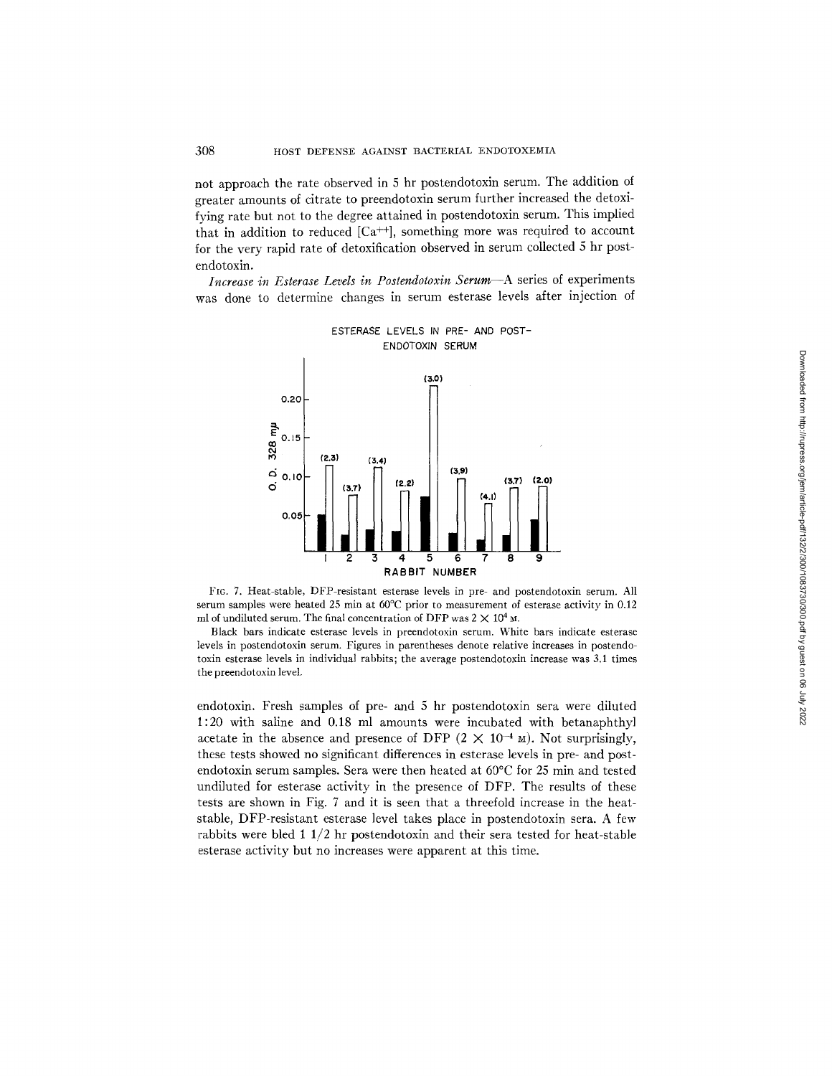not approach the rate observed in 5 hr postendotoxin serum. The addition of greater amounts of citrate to preendotoxin serum further increased the detoxifying rate but not to the degree attained in postendotoxin serum. This implied that in addition to reduced  $[Ca^{++}]$ , something more was required to account for the very rapid rate of detoxification observed in serum collected 5 hr postendotoxin.

*Increase in Esterase Levels in Postendotoxin Serum--A* series of experiments was done to determine changes in serum esterase levels after injection of



FIG. 7. Heat-stable, DFP-resistant esterase levels in pre- and postendotoxin serum. All serum samples were heated 25 min at 60°C prior to measurement of esterase activity in 0.12 ml of undiluted serum. The final concentration of DFP was  $2 \times 10^4$  M.

Black bars indicate esterase levels in preendotoxin serum. White bars indicate esterase levels in postendotoxin serum. Figures in parentheses denote relative increases in postendotoxin esterase levels in individual rabbits; the average postendotoxin increase was 3.1 times the preendotoxin level.

endotoxin. Fresh samples of pre- and 5 hr postendotoxin sera were diluted 1:20 with saline and 0.18 ml amounts were incubated with betanaphthyl acetate in the absence and presence of DFP  $(2 \times 10^{-4} \text{ m})$ . Not surprisingly, these tests showed no significant differences in esterase levels in pre- and postendotoxin serum samples. Sera were then heated at  $60^{\circ}$ C for 25 min and tested undiluted for esterase activity in the presence of DFP. The results of these tests are shown in Fig. 7 and it is seen that a threefold increase in the heatstable, DFP-resistant esterase level takes place in postendotoxin sara. A few rabbits were bled 1  $1/2$  hr postendotoxin and their sera tested for heat-stable esterase activity but no increases were apparent at this time.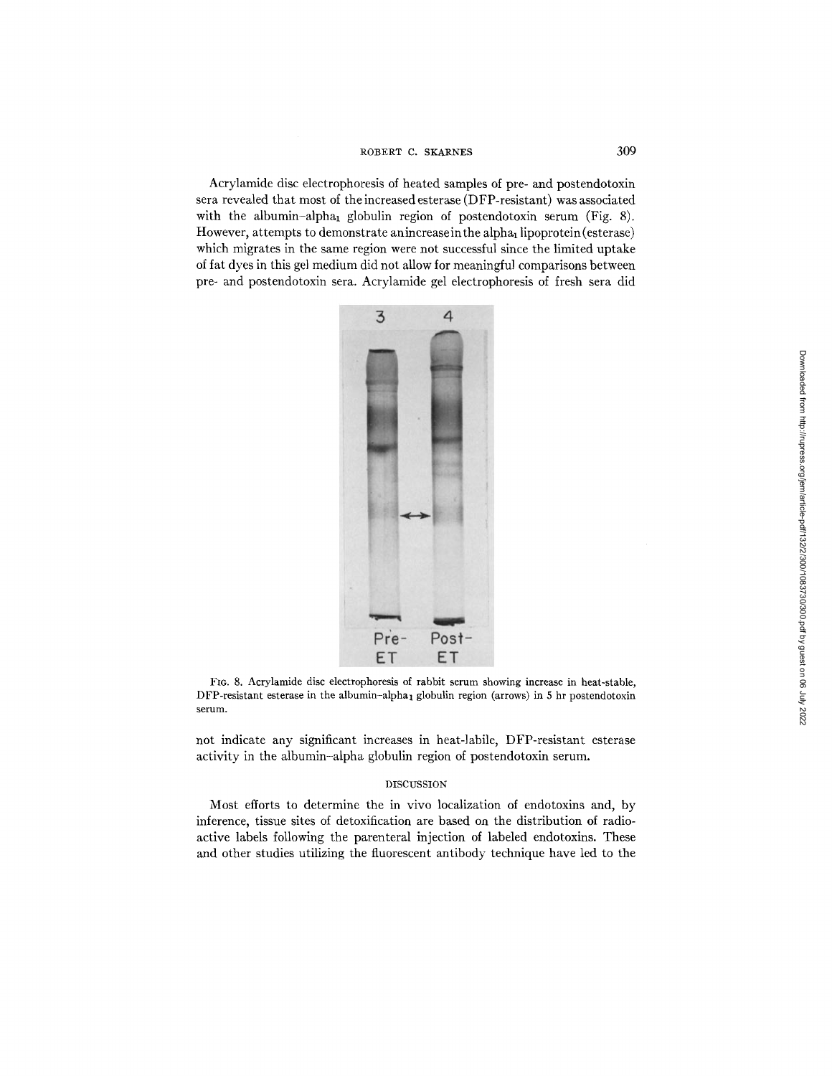Acrylamide disc electrophoresis of heated samples of pre- and postendotoxin sera revealed that most of the increased esterase (DFP-resistant) was associated with the albumin-alpha<sub>1</sub> globulin region of postendotoxin serum (Fig. 8). However, attempts to demonstrate anincrease in the alpha<sub>1</sub> lipoprotein (esterase) which migrates in the same region were not successful since the limited uptake of fat dyes in this gel medium did not allow for meaningful comparisons between pre- and postendotoxin sera. Acrylamide gel electrophoresis of fresh sera did



FIG. 8. Acrylamide disc electrophoresis of rabbit serum showing increase in heat-stable, DFP-resistant esterase in the albumin-alpha<sub>1</sub> globulin region (arrows) in 5 hr postendotoxin serum.

not indicate any significant increases in heat-labile, DFP-resistant esterase activity in the albumin-alpha globulin region of postendotoxin serum.

## DISCUSSION

Most efforts to determine the in vivo localization of endotoxins and, by inference, tissue sites of detoxification are based on the distribution of radioactive labels following the parenteral injection of labeled endotoxins. These and other studies utilizing the fluorescent antibody technique have led to the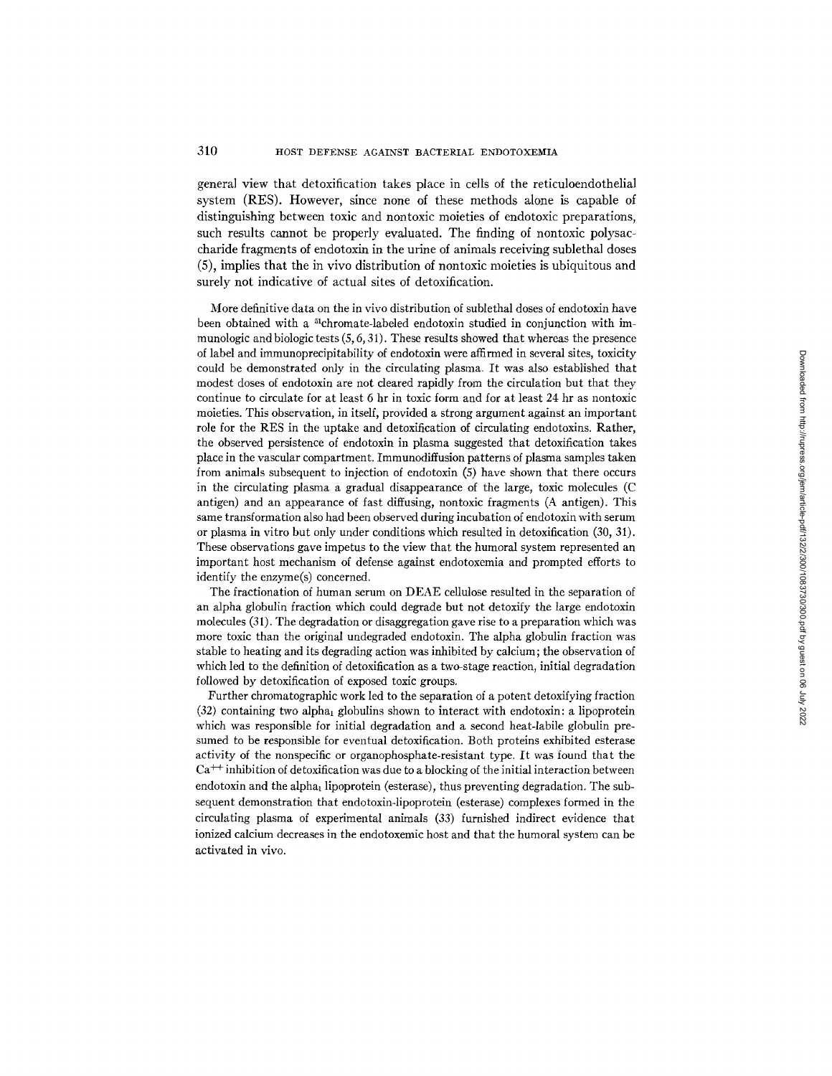#### 310 HOST DEFENSE AGAINST BACTERIAL ENDOTOXEMIA

general view that detoxification takes place in cells of the reticuloendothelial system (RES). However, since none of these methods alone is capable of distinguishing between toxic and nontoxic moieties of endotoxic preparations, such results cannot be properly evaluated. The finding of nontoxic polysaccharide fragments of endotoxin in the urine of animals receiving sublethal doses (5), implies that the in vivo distribution of nontoxic moieties is ubiquitous and surely not indicative of actual sites of detoxification.

More definitive data on the in vivo distribution of sublethal doses of endotoxin have been obtained with a <sup>51</sup>chromate-labeled endotoxin studied in conjunction with immunologic and biologic tests (5, *6,* 31). These results showed that whereas the presence of label and immunoprecipitability of endotoxin were affirmed in several sites, toxicity could be demonstrated only in the circulating plasma. It was also established that modest doses of endotoxin are not cleared rapidly from the circulation but that they continue to circulate for at least 6 hr in toxic form and for at least 24 hr as nontoxic moieties. This observation, in itself, provided a strong argument against an important role for the RES in the uptake and detoxifieation of circulating endotoxins. Rather, the observed persistence of endotoxin in plasma suggested that detoxification takes place in the vascular compartment. Immunodiffusion patterns of plasma samples taken from animals subsequent to injection of endotoxin (5) have shown that there occurs in the circulating plasma a gradual disappearance of the large, toxic molecules (C antigen) and an appearance of fast diffusing, nontoxic fragments (A antigen). This same transformation also had been observed during incubation of endotoxin with serum or plasma in vitro but only under conditions which resulted in detoxification (30, 31). These observations gave impetus to the view that the humoral system represented an important host mechanism of defense against endotoxemia and prompted efforts to identify the enzyme(s) concerned.

The fractionation of human serum on DEAE cellulose resulted in the separation of an alpha globulin fraction which could degrade but not detoxify the large endotoxin molecules (31). The degradation or disaggregation gave rise to a preparation which was more toxic than the original undegraded endotoxin. The alpha globulin fraction was stable to heating and its degrading action was inhibited by calcium; the observation of which led to the definition of detoxification as a two-stage reaction, initial degradation followed by detoxifieation of exposed toxic groups.

Further chromatographic work led to the separation of a potent detoxifying fraction  $(32)$  containing two alpha<sub>1</sub> globulins shown to interact with endotoxin: a lipoprotein which was responsible for initial degradation and a second heat-labile globulin presumed to be responsible for eventual detoxification. Both proteins exhibited esterase activity of the nonspecific or organophosphate-resistant type. It was found that the  $Ca<sup>++</sup>$  inhibition of detoxification was due to a blocking of the initial interaction between endotoxin and the alpha<sub>1</sub> lipoprotein (esterase), thus preventing degradation. The subsequent demonstration that endotoxin-lipoprotein (esterase) complexes formed in the circulating plasma of experimental animals (33) furnished indirect evidence that ionized calcium decreases in the endotoxemic host and that the humoral system can be activated in vivo.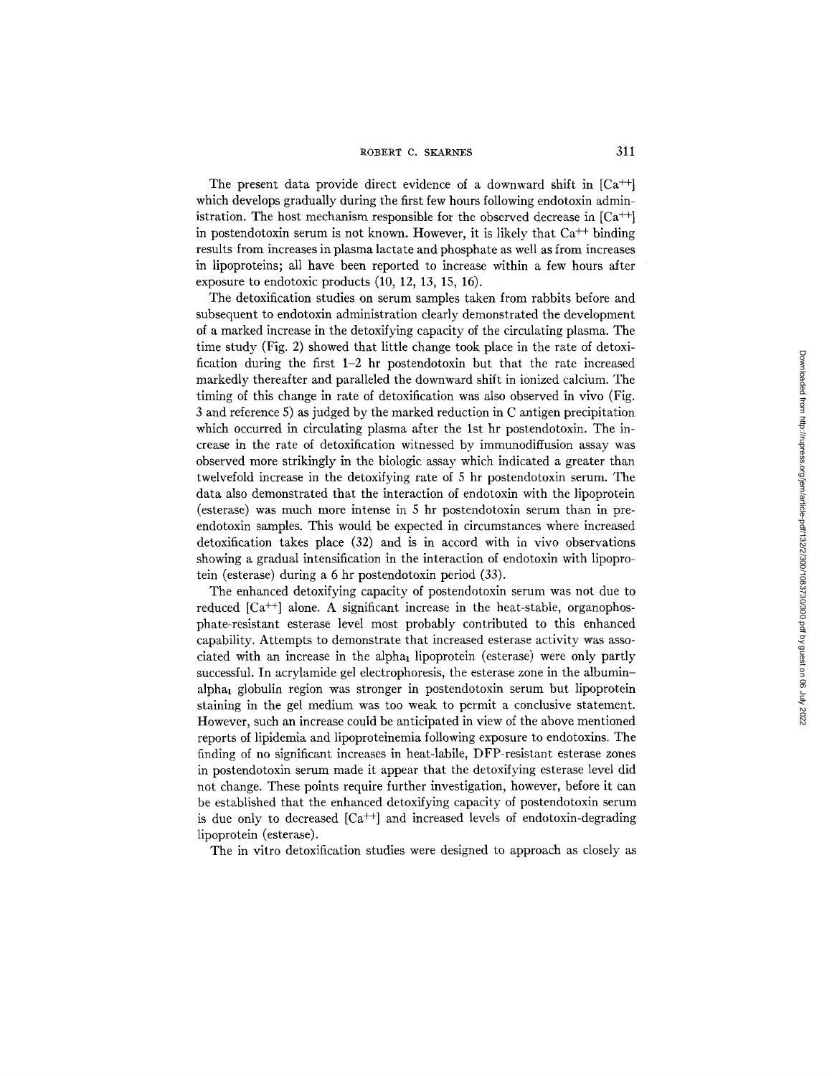The present data provide direct evidence of a downward shift in  $[Ca^{++}]$ which develops gradually during the first few hours following endotoxin administration. The host mechanism responsible for the observed decrease in  $[Ca^{++}]$ in postendotoxin serum is not known. However, it is likely that  $Ca<sup>++</sup>$  binding results from increases in plasma lactate and phosphate as well as from increases in lipoproteins; all have been reported to increase within a few hours after exposure to endotoxic products (10, 12, 13, 15, 16).

The detoxification studies on serum samples taken from rabbits before and subsequent to endotoxin administration clearly demonstrated the development of a marked increase in the detoxifying capacity of the circulating plasma. The time study (Fig. 2) showed that little change took place in the rate of detoxification during the first  $1-2$  hr postendotoxin but that the rate increased markedly thereafter and paralleled the downward shift in ionized calcium. The timing of this change in rate of detoxification was also observed in vivo (Fig. 3 and reference 5) as judged by the marked reduction in C antigen precipitation which occurred in circulating plasma after the 1st hr postendotoxin. The increase in the rate of detoxification witnessed by immunodiffusion assay was observed more strikingly in the biologic assay which indicated a greater than twelvefold increase in the detoxifying rate of 5 hr postendotoxin serum. The data also demonstrated that the interaction of endotoxin with the lipoprotein (esterase) was much more intense in 5 hr postendotoxin serum than in preendotoxin samples. This would be expected in circumstances where increased detoxification takes place (32) and is in accord with in vivo observations showing a gradual intensification in the interaction of endotoxin with lipoprotein (esterase) during a 6 hr postendotoxin period (33).

The enhanced detoxifying capacity of postendotoxin serum was not due to reduced  $[Ca^{++}]$  alone. A significant increase in the heat-stable, organophosphate-resistant esterase level most probably contributed to this enhanced capability. Attempts to demonstrate that increased esterase activity was associated with an increase in the alpha<sub>1</sub> lipoprotein (esterase) were only partly successful. In acrylamide gel electrophoresis, the esterase zone in the albuminalpha1 globulin region was stronger in postendotoxin serum but lipoprotein staining in the gel medium was too weak to permit a conclusive statement. However, such an increase could be anticipated in view of the above mentioned reports of lipidemia and lipoproteinemia following exposure to endotoxins. The finding of no significant increases in heat-labile, DFP-resistant esterase zones in postendotoxin serum made it appear that the detoxifying esterase level did not change. These points require further investigation, however, before it can be established that the enhanced detoxifying capacity of postendotoxin serum is due only to decreased  $[Ca^{++}]$  and increased levels of endotoxin-degrading lipoprotein (esterase).

The in vitro detoxification studies were designed to approach as closely as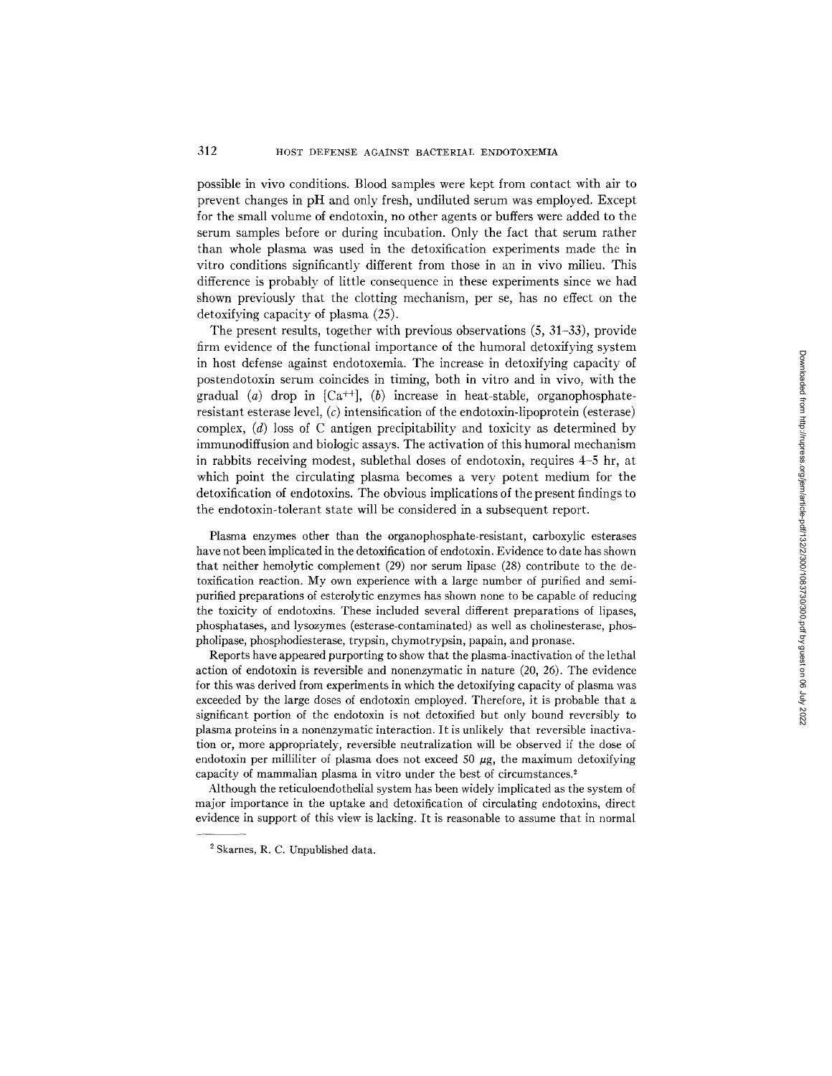possible in vivo conditions. Blood samples were kept from contact with air to prevent changes in pH and only fresh, undiluted serum was employed. Except for the small volume of endotoxin, no other agents or buffers were added to the serum samples before or during incubation. Only the fact that serum rather than whole plasma was used in the detoxification experiments made the in vitro conditions significantly different from those in an in vivo milieu. This difference is probably of little consequence in these experiments since we had shown previously that the clotting mechanism, per se, has no effect on the detoxifying capacity of plasma (25).

The present results, together with previous observations (5, 31-33), provide firm evidence of the functional importance of the humoral detoxifying system in host defense against endotoxemia. The increase in detoxifying capacity of postendotoxin serum coincides in timing, both in vitro and in vivo, with the gradual (a) drop in  $[Ca^{++}]$ , (b) increase in heat-stable, organophosphateresistant esterase level,  $(c)$  intensification of the endotoxin-lipoprotein (esterase) complex, (d) loss of C antigen precipitability and toxicity as determined by immunodiffusion and biologic assays. The activation of this humoral mechanism in rabbits receiving modest, sublethal doses of endotoxin, requires 4-5 hr, at which point the circulating plasma becomes a very potent medium for the detoxification of endotoxins. The obvious implications of the present findings to the endotoxin-tolerant state will be considered in a subsequent report.

Plasma enzymes other than the organophosphate-resistant, carboxylic esterases have not been implicated in the detoxification of endotoxin. Evidence to date has shown that neither hemolytic complement (29) nor serum lipase (28) contribute to the detoxification reaction. My own experience with a large number of purified and semipurified preparations of esterolytic enzymes has shown none to be capable of reducing the toxicity of endotoxins. These included several different preparations of lipases, phosphatases, and lysozymes (esterase-contaminated) as well as cholinesterase, phospholipase, phosphodiesterase, trypsin, chymotrypsin, papain, and pronase.

Reports have appeared purporting to show that the plasma-inactivation of the lethal action of endotoxin is reversible and nonenzymatic in nature (20, 26). The evidence for this was derived from experiments in which the dctoxifying capacity of plasma was exceeded by the large doses of endotoxin employed. Therefore, it is probable that a significant portion of the endotoxin is not detoxified but only bound reversibly to plasma proteins in a nonenzymatic interaction. It is unlikely that reversible inactivation or, more appropriately, reversible neutralization will be observed if the dose of endotoxin per milliliter of plasma does not exceed 50  $\mu$ g, the maximum detoxifying capacity of mammalian plasma in vitro under the best of circumstances?

Although the reticuloendothelial system has been widely implicated as the system of major importance in the uptake and detoxification of circulating endotoxins, direct evidence in support of this view is lacking. It is reasonable to assume that in normal

<sup>2</sup> Skarnes, R. C. Unpublished data.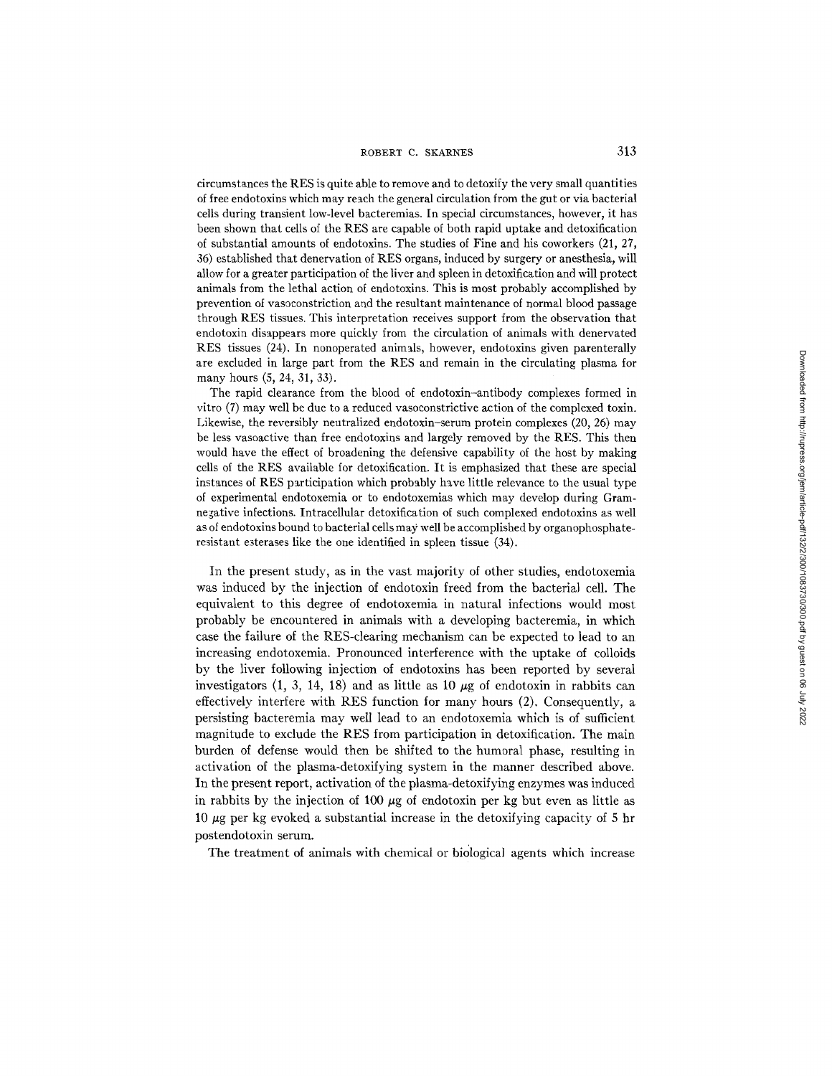circumstances the RES is quite able to remove and to detoxify the very small quantities of free endotoxins which may reach the general circulation from the gut or via bacterial cells during transient low-level bacteremias. In special circumstances, however, it has been shown that cells of the RES are capable of both rapid uptake and detoxification of substantial amounts of endotoxins. The studies of Fine and his coworkers (21, 27, 36) established that denervation of RES organs, induced by surgery or anesthesia, will allow for a greater participation of the liver and spleen in detoxification and will protect animals from the lethal action of endotoxins. This is most probably accomplished by prevention of vasoconstriction and the resultant maintenance of normal blood passage through RES tissues. This interpretation receives support from the observation that endotoxin disappears more quickly from the circulation of animals with denervated RES tissues (24). In nonoperated animals, however, endotoxins given parenterally are excluded in large part from the RES and remain in the circulating plasma for many hours (5, 24, 31, 33).

The rapid clearance from the blood of endotoxin-antibody complexes formed in vitro (7) may well be due to a reduced vasoconstrictive action of the complexed toxin. Likewise, the reversibly neutralized endotoxin-serum protein complexes (20, 26) may be less vasoactive than free endotoxins and largely removed by the RES. This then would have the effect of broadening the defensive capability of the host by making cells of the RES available for detoxification. It is emphasized that these are special instances of RES participation which probably have little relevance to the usual type of experimental endotoxemia or to endotoxemias which may develop during Gramnegative infections. Intracellular detoxification of such eomplexed endotoxins as well as of endotoxins bound to bacterial cells may well be accomplished by organophosphateresistant esterases like the one identified in spleen tissue (34).

In the present study, as in the vast majority of other studies, endotoxemia was induced by the injection of endotoxin freed from the bacterial cell. The equivalent to this degree of endotoxemia in natural infections would most probably be encountered in animals with a developing bacteremia, in which case the failure of the RES-clearing mechanism can be expected to lead to an increasing endotoxemia. Pronounced interference with the uptake of colloids by the liver following injection of endotoxins has been reported by several investigators (1, 3, 14, 18) and as little as 10  $\mu$ g of endotoxin in rabbits can effectively interfere with RES function for many hours (2). Consequently, a persisting bacteremia may well lead to an endotoxemia which is of sufficient magnitude to exclude the RES from participation in detoxification. The main burden of defense would then be shifted to the humoral phase, resulting in activation of the plasma-detoxifying system in the manner described above. In the present report, activation of the plasma-detoxifying enzymes was induced in rabbits by the injection of 100  $\mu$ g of endotoxin per kg but even as little as 10  $\mu$ g per kg evoked a substantial increase in the detoxifying capacity of 5 hr postendotoxin serum.

The treatment of animals with chemical or biological agents which increase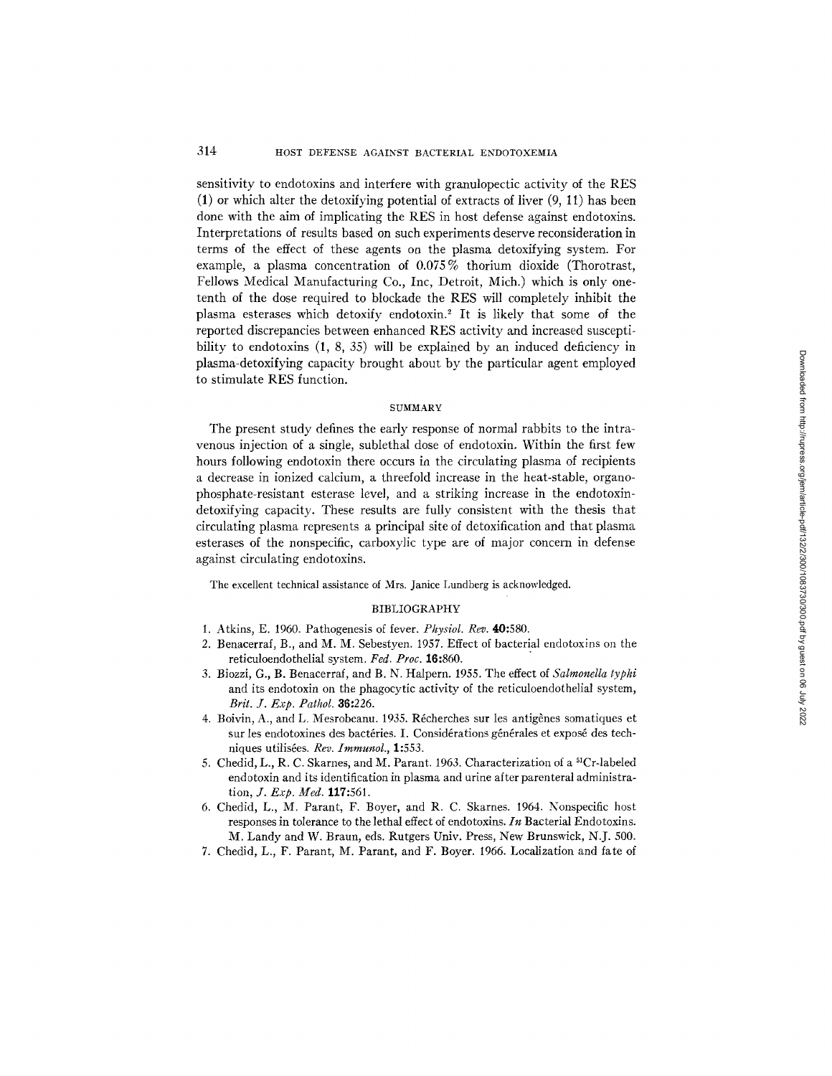sensitivity to endotoxins and interfere with granulopectic activity of the RES  $(1)$  or which alter the detoxifying potential of extracts of liver  $(9, 11)$  has been done with the aim of implicating the RES in host defense against endotoxins. Interpretations of results based on such experiments deserve reconsideration in terms of the effect of these agents on the plasma detoxifying system. For example, a plasma concentration of 0.075% thorium dioxide (Thorotrast, Fellows Medical Manufacturing Co., Inc, Detroit, Mich.) which is only onetenth of the dose required to blockade the RES will completely inhibit the plasma esterases which detoxify endotoxin.<sup>2</sup> It is likely that some of the reported discrepancies between enhanced RES activity and increased susceptibility to endotoxins (1, 8, 35) will be explained by an induced deficiency in plasma-detoxifying capacity brought about by the particular agent employed to stimulate RES function.

#### **SUMMARY**

The present study defines the early response of normal rabbits to the intravenous injection of a single, sublethal dose of endotoxin. Within the first few hours following endotoxin there occurs in the circulating plasma of recipients a decrease in ionized calcium, a threefold increase in the heat-stable, organophosphate-resistant esterase level, and a striking increase in the endotoxindetoxifying capacity. These results are fully consistent with the thesis that circulating plasma represents a principal site of detoxification and that plasma esterases of the nonspecific, carboxylic type are of major concern in defense against circulating endotoxins.

The excellent technical assistance of Mrs. Janice Lundberg is acknowledged.

#### BIBLIOGRAPHY

- 1. Atkins, E. 1950. Pathogenesis of fever. *Physiol. Rev.* 40:580.
- 2. Benacerraf, B., and M. M. Sebestyen. 1957. Effect of bacterial endotoxins on the reticuloendothelial system. *Fed. Proc.* 16:860.
- 3. Biozzi, G., B. Benacerraf, and B. N. Halpern. 1955. The effect of *Salmonella lyphi*  and its endotoxin on the phagocytic activity of the reticuloendothelial system, *Brit. J. Exp. Pathol.* 36:225.
- 4. Boivin, A., and L. Mesrobeanu. 1935. Récherches sur les antigènes somatiques et sur les endotoxines des bactéries. I. Considérations générales et exposé des techniques utilis6es. *Rev. Immunol.,* 1:553.
- 5. Chedid, L., R. C. Skarnes, and M. Parant. 1963. Characterization of a 51Cr-labeled endotoxin and its identification in plasma and urine after parenteral administration, *J. Exp. Med.* 117:561.
- 6. Chedid, L., M. Parant, F. Boyer, and R. C. Skarnes. 1964. Nonspecific host responses in tolerance to the lethal effect of endotoxins. *In* Bacterial Endotoxins. M. Landy and W. Braun, eds. Rutgers Univ. Press, New Brunswick, N.J. 500.
- 7. Chedid, L., F. Parant, M. Parant, and F. Boyer. 1965. Localization and fate of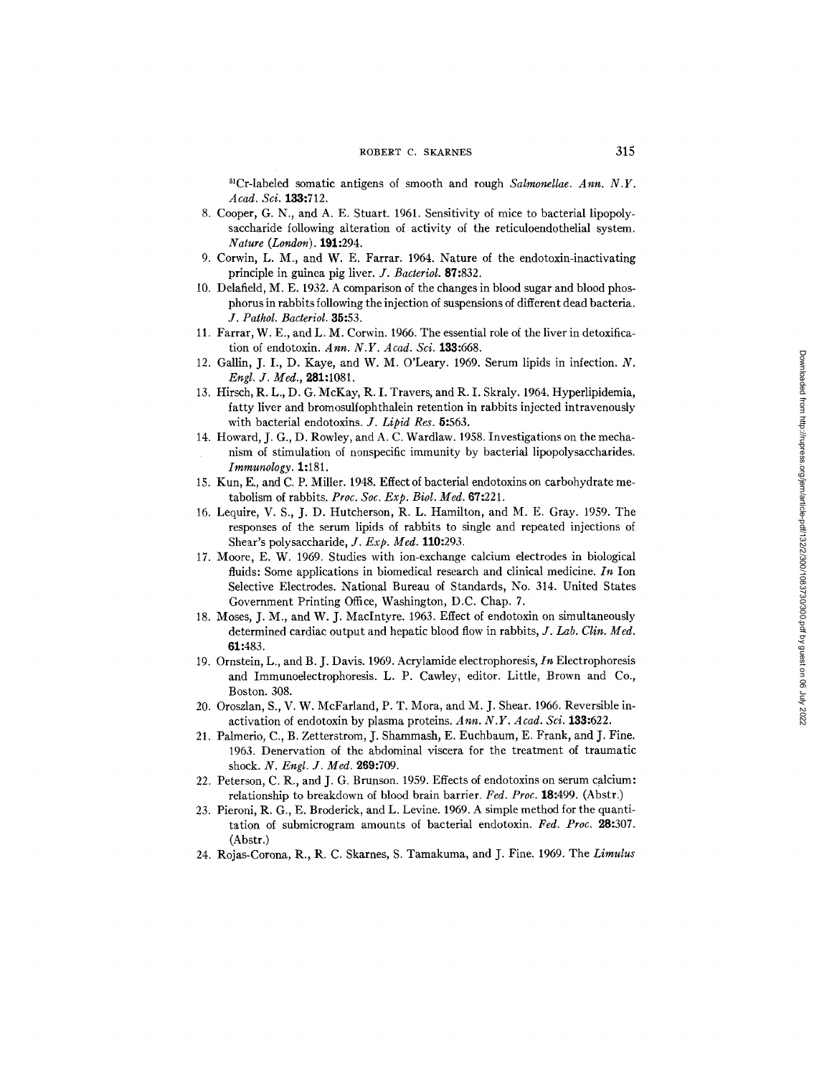${}^{51}Cr$ -labeled somatic antigens of smooth and rough *Salmonellae. Ann.* N.Y. *Acad. Sci.* 133:712.

- 8. Cooper, G. N., and A. E. Stuart. 1961. Sensitivity of mice to bacterial lipopolysaccharide following alteration of activity of the reticuloendothelial system. *Nature (London).* 191:294.
- 9. Corwin, L. M., and W. E. Farrar. 1964. Nature of the endotoxin-inactivating principle in guinea pig liver. *J. Bacteriol.* 87:832.
- 10. Delafield, M. E. 1932. A comparison of the changes in blood sugar and blood phosphorus in rabbits following the injection of suspensions of different dead bacteria. *J. Pathol. Bacteriol.* 85:53.
- 11. Farrar, W. E., and L. M. Corwin. 1966. The essential role of the liver in detoxification of endotoxin. *Ann. N.Y. Acad. Sei.* 188:668.
- 12. Gallin, J. I., D. Kaye, and W. M. O'Leary. 1969. Serum lipids in infection. N. *Engl. J. Med.,* 281:1081.
- 13. Hirsch, R. L., D. G. McKay, R. I. Travers, and R. I. Skraly. 1964. Hyperlipidemia, fatty liver and bromosulfophthalein retention in rabbits injected intravenously with bacterial endotoxins. *J. Lipid Res.* 5:563.
- 14. Howard, J. G., D. Rowley, and A. C. Wardlaw. 1958. Investigations on the mechanism of stimulation of nonspecific immunity by bacterial lipopolysaccharides. *Immunology.* 1:181.
- 15. Kun, E., and C. P. Miller. 1948. Effect of bacterial endotoxins on carbohydrate metabolism of rabbits. *Proc. Soc. Exp. Biol. Med.* 67:221.
- 16. Lequire, V. S., J. D. Hutcherson, R. L. Hamilton, and M. E. Gray. 1959. The responses of the serum lipids of rabbits to single and repeated injections of Shear's polysaccharide, *J. Exp. Med.* **110:**293.
- 17. Moore, E. W. 1969. Studies with ion-exchange calcium electrodes in biological fluids: Some applications in biomedical research and clinical medicine. *In* Ion Selective Electrodes. National Bureau of Standards, No. 314. United States Government Printing Office, Washington, D.C. Chap. 7.
- 18. Moses, J. M., and W. J. MacIntyre. 1963. Effect of endotoxin on simultaneously determined cardiac output and hepatic blood flow in rabbits, *J. Lab. Clin. Med.*  61:483.
- 19. Ornstein, L., and B. J. Davis. 1969. Acrylamide electrophoresis, *In* Electrophoresis and Immunoelectrophoresis. L. P. Cawley, editor. Little, Brown and Co., Boston. 308.
- 20. Oroszlan, S., V. W. McFarland, P. T. Mora, and M. J. Shear. 1966. Reversible inactivation of endotoxin by plasma proteins. *Ann. N.Y. Aead. Sci.* 133:622.
- 21. Palmerio, C., B. Zetterstrom, J. Shammash, E. Euchbaum, E. Frank, and J. Fine. 1963. Denervation of the abdominal viscera for the treatment of traumatic shock. *N. Engl. J. Med.* 269:709.
- 22. Peterson, C. R., and J. G. Brunson. 1959. Effects of endotoxins on serum calcium: relationship to breakdown of blood brain barrier. *Fed. Proc.* 18:499. (Abstr.)
- 23. Pieroni, R. G., E. Broderick, and L. Levine. 1969. A simple method for the quantitation of submicrogram amounts of bacterial endotoxin. Fed. Proc. **28:**307. (Abstr.)
- 24. Rojas-Corona, R., R. C. Skarnes, S. Tamakuma, and J. Fine. 1969. The *Limulus*